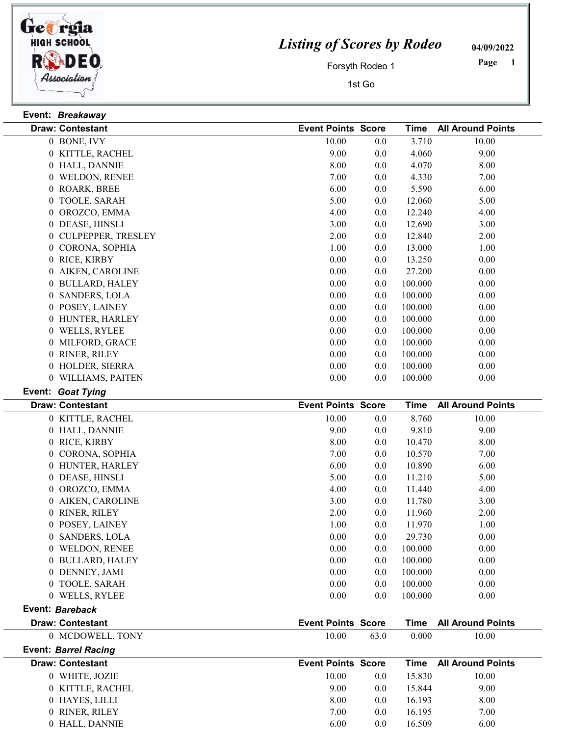

Event: Breakaway

## Listing of Scores by Rodeo

04/09/2022

Forsyth Rodeo 1

1st Go

 Page

| <b>Draw: Contestant</b>                 | <b>Event Points Score</b> |         | Time        | <b>All Around Points</b> |
|-----------------------------------------|---------------------------|---------|-------------|--------------------------|
| 0 BONE, IVY                             | 10.00                     | 0.0     | 3.710       | 10.00                    |
| 0 KITTLE, RACHEL                        | 9.00                      | 0.0     | 4.060       | 9.00                     |
| 0 HALL, DANNIE                          | 8.00                      | 0.0     | 4.070       | 8.00                     |
| 0 WELDON, RENEE                         | 7.00                      | 0.0     | 4.330       | 7.00                     |
| 0 ROARK, BREE                           | 6.00                      | 0.0     | 5.590       | 6.00                     |
| 0 TOOLE, SARAH                          | 5.00                      | 0.0     | 12.060      | 5.00                     |
| 0 OROZCO, EMMA                          | 4.00                      | 0.0     | 12.240      | 4.00                     |
| 0 DEASE, HINSLI                         | 3.00                      | 0.0     | 12.690      | 3.00                     |
| 0 CULPEPPER, TRESLEY                    | 2.00                      | 0.0     | 12.840      | 2.00                     |
| 0 CORONA, SOPHIA                        | 1.00                      | 0.0     | 13.000      | 1.00                     |
| 0 RICE, KIRBY                           | 0.00                      | 0.0     | 13.250      | 0.00                     |
| 0 AIKEN, CAROLINE                       | 0.00                      | $0.0\,$ | 27.200      | 0.00                     |
| <b>BULLARD, HALEY</b><br>$\overline{0}$ | 0.00                      | 0.0     | 100.000     | 0.00                     |
| 0 SANDERS, LOLA                         | 0.00                      | 0.0     | 100.000     | 0.00                     |
| 0 POSEY, LAINEY                         | 0.00                      | 0.0     | 100.000     | 0.00                     |
| 0 HUNTER, HARLEY                        | 0.00                      | 0.0     | 100.000     | 0.00                     |
| 0 WELLS, RYLEE                          | 0.00                      | 0.0     | 100.000     | 0.00                     |
| 0 MILFORD, GRACE                        | 0.00                      | 0.0     | 100.000     | 0.00                     |
| 0 RINER, RILEY                          | 0.00                      | $0.0\,$ | 100.000     | 0.00                     |
| 0 HOLDER, SIERRA                        | 0.00                      | 0.0     | 100.000     | 0.00                     |
| 0 WILLIAMS, PAITEN                      | 0.00                      | 0.0     | 100.000     | 0.00                     |
| Event: Goat Tying                       |                           |         |             |                          |
| <b>Draw: Contestant</b>                 | <b>Event Points Score</b> |         | <b>Time</b> | <b>All Around Points</b> |
| 0 KITTLE, RACHEL                        | 10.00                     | 0.0     | 8.760       | 10.00                    |
| 0 HALL, DANNIE                          | 9.00                      | 0.0     | 9.810       | 9.00                     |
| 0 RICE, KIRBY                           | 8.00                      | 0.0     | 10.470      | 8.00                     |
| 0 CORONA, SOPHIA                        | 7.00                      | 0.0     | 10.570      | 7.00                     |
| 0 HUNTER, HARLEY                        | 6.00                      | 0.0     | 10.890      | 6.00                     |
| 0 DEASE, HINSLI                         | 5.00                      | 0.0     | 11.210      | 5.00                     |
| 0 OROZCO, EMMA                          | 4.00                      | 0.0     | 11.440      | 4.00                     |
| AIKEN, CAROLINE<br>$\overline{0}$       | 3.00                      | 0.0     | 11.780      | 3.00                     |
| 0 RINER, RILEY                          | 2.00                      | 0.0     | 11.960      | 2.00                     |
| 0 POSEY, LAINEY                         | 1.00                      | 0.0     | 11.970      | 1.00                     |
| 0 SANDERS, LOLA                         | 0.00                      | $0.0\,$ | 29.730      | 0.00                     |
| 0 WELDON, RENEE                         | 0.00                      | 0.0     | 100.000     | 0.00                     |
| 0 BULLARD, HALEY                        | 0.00                      | $0.0\,$ | 100.000     | 0.00                     |
| 0 DENNEY, JAMI                          | 0.00                      | 0.0     | 100.000     | 0.00                     |
| 0 TOOLE, SARAH                          | 0.00                      | $0.0\,$ | 100.000     | 0.00                     |
| 0 WELLS, RYLEE                          | 0.00                      | 0.0     | 100.000     | 0.00                     |
| Event: Bareback                         |                           |         |             |                          |
| <b>Draw: Contestant</b>                 | <b>Event Points Score</b> |         | <b>Time</b> | <b>All Around Points</b> |
| 0 MCDOWELL, TONY                        | 10.00                     | 63.0    | 0.000       | 10.00                    |
| <b>Event: Barrel Racing</b>             |                           |         |             |                          |
| <b>Draw: Contestant</b>                 | <b>Event Points Score</b> |         | Time        | <b>All Around Points</b> |
| 0 WHITE, JOZIE                          | 10.00                     | $0.0\,$ | 15.830      | 10.00                    |
| 0 KITTLE, RACHEL                        | 9.00                      | 0.0     | 15.844      | 9.00                     |
| 0 HAYES, LILLI                          | 8.00                      | 0.0     | 16.193      | 8.00                     |
| 0 RINER, RILEY                          | 7.00                      | $0.0\,$ | 16.195      | 7.00                     |
| 0 HALL, DANNIE                          | 6.00                      | 0.0     | 16.509      | 6.00                     |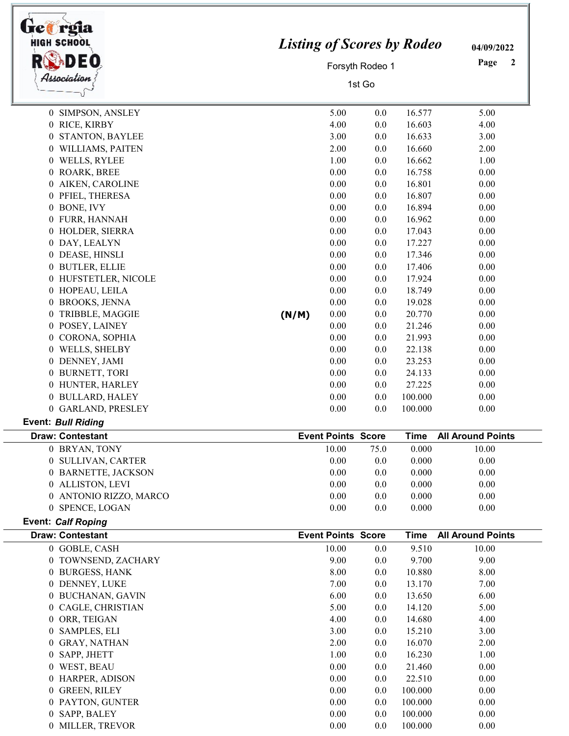|                | HIGH SCHOOL<br>Association                           |       | <b>Listing of Scores by Rodeo</b><br>Forsyth Rodeo 1<br>1st Go |      |             |                          |  |
|----------------|------------------------------------------------------|-------|----------------------------------------------------------------|------|-------------|--------------------------|--|
|                | 0 SIMPSON, ANSLEY                                    |       | 5.00                                                           | 0.0  | 16.577      | 5.00                     |  |
|                | 0 RICE, KIRBY                                        |       | 4.00                                                           | 0.0  | 16.603      | 4.00                     |  |
| $\theta$       | STANTON, BAYLEE                                      |       | 3.00                                                           | 0.0  | 16.633      | 3.00                     |  |
|                | 0 WILLIAMS, PAITEN                                   |       | 2.00                                                           | 0.0  | 16.660      | 2.00                     |  |
|                | 0 WELLS, RYLEE                                       |       | 1.00                                                           | 0.0  | 16.662      | 1.00                     |  |
|                | 0 ROARK, BREE                                        |       | 0.00                                                           | 0.0  | 16.758      | 0.00                     |  |
| $\theta$       | AIKEN, CAROLINE                                      |       | 0.00                                                           | 0.0  | 16.801      | 0.00                     |  |
| $\overline{0}$ | PFIEL, THERESA                                       |       | 0.00                                                           | 0.0  | 16.807      | 0.00                     |  |
|                | 0 BONE, IVY                                          |       | 0.00                                                           | 0.0  | 16.894      | 0.00                     |  |
|                | 0 FURR, HANNAH                                       |       | 0.00                                                           | 0.0  | 16.962      | 0.00                     |  |
|                | 0 HOLDER, SIERRA                                     |       | 0.00                                                           | 0.0  | 17.043      | 0.00                     |  |
|                | 0 DAY, LEALYN                                        |       | 0.00                                                           | 0.0  | 17.227      | 0.00                     |  |
|                | 0 DEASE, HINSLI                                      |       | 0.00                                                           | 0.0  | 17.346      | 0.00                     |  |
|                | 0 BUTLER, ELLIE                                      |       | 0.00                                                           | 0.0  | 17.406      | 0.00                     |  |
|                | 0 HUFSTETLER, NICOLE                                 |       | 0.00                                                           | 0.0  | 17.924      | 0.00                     |  |
|                | 0 HOPEAU, LEILA                                      |       | 0.00                                                           | 0.0  | 18.749      | 0.00                     |  |
|                | 0 BROOKS, JENNA                                      |       | 0.00                                                           | 0.0  | 19.028      | 0.00                     |  |
| $\overline{0}$ | TRIBBLE, MAGGIE                                      | (N/M) | 0.00                                                           | 0.0  | 20.770      | 0.00                     |  |
|                | 0 POSEY, LAINEY                                      |       | 0.00                                                           | 0.0  | 21.246      | 0.00                     |  |
|                | 0 CORONA, SOPHIA                                     |       | 0.00                                                           | 0.0  | 21.993      | 0.00                     |  |
|                | 0 WELLS, SHELBY                                      |       | 0.00                                                           | 0.0  | 22.138      | 0.00                     |  |
|                | 0 DENNEY, JAMI                                       |       | 0.00                                                           | 0.0  | 23.253      | 0.00                     |  |
|                | 0 BURNETT, TORI                                      |       | 0.00                                                           | 0.0  | 24.133      | 0.00                     |  |
|                | 0 HUNTER, HARLEY                                     |       | 0.00                                                           | 0.0  | 27.225      | 0.00                     |  |
|                | 0 BULLARD, HALEY                                     |       | 0.00                                                           | 0.0  | 100.000     | 0.00                     |  |
|                | 0 GARLAND, PRESLEY                                   |       | 0.00                                                           | 0.0  | 100.000     | 0.00                     |  |
|                | <b>Event: Bull Riding</b>                            |       |                                                                |      |             |                          |  |
|                | <b>Draw: Contestant</b>                              |       | <b>Event Points Score</b>                                      |      | Time        | <b>All Around Points</b> |  |
|                | 0 BRYAN, TONY                                        |       | 10.00                                                          | 75.0 | 0.000       | 10.00                    |  |
|                | 0 SULLIVAN, CARTER                                   |       | 0.00                                                           | 0.0  | 0.000       | 0.00                     |  |
|                | 0 BARNETTE, JACKSON                                  |       | 0.00                                                           | 0.0  | 0.000       | 0.00                     |  |
|                | 0 ALLISTON, LEVI                                     |       | 0.00                                                           | 0.0  | 0.000       | 0.00                     |  |
|                | 0 ANTONIO RIZZO, MARCO                               |       | 0.00                                                           | 0.0  | 0.000       | 0.00                     |  |
|                | 0 SPENCE, LOGAN                                      |       | 0.00                                                           | 0.0  | 0.000       | 0.00                     |  |
|                | <b>Event: Calf Roping</b><br><b>Draw: Contestant</b> |       | <b>Event Points Score</b>                                      |      | <b>Time</b> | <b>All Around Points</b> |  |
|                | 0 GOBLE, CASH                                        |       | 10.00                                                          | 0.0  | 9.510       | 10.00                    |  |
|                | 0 TOWNSEND, ZACHARY                                  |       | 9.00                                                           | 0.0  | 9.700       | 9.00                     |  |
|                | 0 BURGESS, HANK                                      |       | 8.00                                                           | 0.0  | 10.880      | 8.00                     |  |
|                | 0 DENNEY, LUKE                                       |       | 7.00                                                           | 0.0  | 13.170      | 7.00                     |  |
|                | 0 BUCHANAN, GAVIN                                    |       | 6.00                                                           | 0.0  | 13.650      | 6.00                     |  |
|                | 0 CAGLE, CHRISTIAN                                   |       | 5.00                                                           | 0.0  | 14.120      | 5.00                     |  |
|                | 0 ORR, TEIGAN                                        |       | 4.00                                                           | 0.0  | 14.680      | 4.00                     |  |
|                | 0 SAMPLES, ELI                                       |       | 3.00                                                           | 0.0  | 15.210      | 3.00                     |  |
|                | 0 GRAY, NATHAN                                       |       | 2.00                                                           | 0.0  | 16.070      | 2.00                     |  |
|                | 0 SAPP, JHETT                                        |       | 1.00                                                           | 0.0  | 16.230      | 1.00                     |  |
|                | 0 WEST, BEAU                                         |       | 0.00                                                           | 0.0  | 21.460      | 0.00                     |  |
|                | 0 HARPER, ADISON                                     |       | 0.00                                                           | 0.0  | 22.510      | 0.00                     |  |
|                | 0 GREEN, RILEY                                       |       | 0.00                                                           | 0.0  | 100.000     | 0.00                     |  |
|                | 0 PAYTON, GUNTER                                     |       | 0.00                                                           | 0.0  | 100.000     | 0.00                     |  |
|                | 0 SAPP, BALEY                                        |       | 0.00                                                           | 0.0  | 100.000     | 0.00                     |  |
|                | 0 MILLER, TREVOR                                     |       | 0.00                                                           | 0.0  | 100.000     | 0.00                     |  |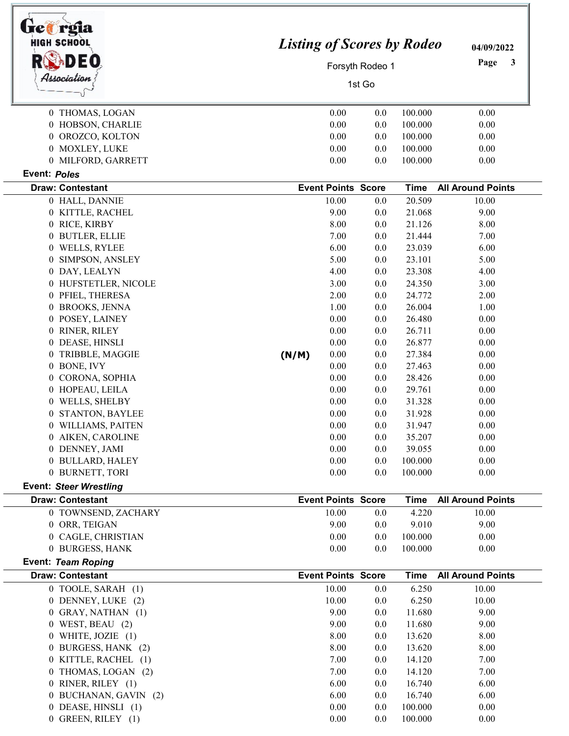| tre greja<br><b>HIGH SCHOOL</b><br>Association |       | <b>Listing of Scores by Rodeo</b><br>Forsyth Rodeo 1<br>1st Go |            |                    |                          |
|------------------------------------------------|-------|----------------------------------------------------------------|------------|--------------------|--------------------------|
|                                                |       |                                                                |            |                    |                          |
|                                                |       |                                                                |            |                    |                          |
| 0 THOMAS, LOGAN                                |       | 0.00<br>0.00                                                   | 0.0<br>0.0 | 100.000<br>100.000 | 0.00<br>0.00             |
| 0 HOBSON, CHARLIE<br>0 OROZCO, KOLTON          |       | 0.00                                                           | 0.0        | 100.000            | 0.00                     |
|                                                |       | 0.00                                                           |            | 100.000            |                          |
| 0 MOXLEY, LUKE<br>0 MILFORD, GARRETT           |       | 0.00                                                           | 0.0<br>0.0 | 100.000            | 0.00<br>0.00             |
| Event: Poles                                   |       |                                                                |            |                    |                          |
| <b>Draw: Contestant</b>                        |       | <b>Event Points Score</b>                                      |            | <b>Time</b>        | <b>All Around Points</b> |
| 0 HALL, DANNIE                                 |       | 10.00                                                          | 0.0        | 20.509             | 10.00                    |
| 0 KITTLE, RACHEL                               |       | 9.00                                                           | 0.0        | 21.068             | 9.00                     |
| 0 RICE, KIRBY                                  |       | 8.00                                                           | 0.0        | 21.126             | 8.00                     |
| 0 BUTLER, ELLIE                                |       | 7.00                                                           | 0.0        | 21.444             | 7.00                     |
| 0 WELLS, RYLEE                                 |       | 6.00                                                           | 0.0        | 23.039             | 6.00                     |
| SIMPSON, ANSLEY<br>0                           |       | 5.00                                                           | 0.0        | 23.101             | 5.00                     |
| 0 DAY, LEALYN                                  |       | 4.00                                                           | 0.0        | 23.308             | 4.00                     |
| 0 HUFSTETLER, NICOLE                           |       | 3.00                                                           | 0.0        | 24.350             | 3.00                     |
| 0 PFIEL, THERESA                               |       | 2.00                                                           | 0.0        | 24.772             | 2.00                     |
| 0 BROOKS, JENNA                                |       | 1.00                                                           | 0.0        | 26.004             | 1.00                     |
| 0 POSEY, LAINEY                                |       | 0.00                                                           | 0.0        | 26.480             | 0.00                     |
| 0 RINER, RILEY                                 |       | 0.00                                                           | 0.0        | 26.711             | 0.00                     |
| 0 DEASE, HINSLI                                |       | 0.00                                                           | 0.0        | 26.877             | 0.00                     |
| TRIBBLE, MAGGIE<br>0                           | (N/M) | 0.00                                                           | 0.0        | 27.384             | 0.00                     |
| 0 BONE, IVY                                    |       | 0.00                                                           | 0.0        | 27.463             | 0.00                     |
| 0 CORONA, SOPHIA                               |       | 0.00                                                           | 0.0        | 28.426             | 0.00                     |
| 0 HOPEAU, LEILA                                |       | 0.00                                                           | 0.0        | 29.761             | 0.00                     |
| WELLS, SHELBY<br>$\theta$                      |       | 0.00                                                           | 0.0        | 31.328             | 0.00                     |
| STANTON, BAYLEE                                |       | 0.00                                                           | 0.0        | 31.928             | 0.00                     |
| 0 WILLIAMS, PAITEN                             |       | 0.00                                                           | 0.0        | 31.947             | 0.00                     |
| 0 AIKEN, CAROLINE                              |       | 0.00                                                           | 0.0        | 35.207             | 0.00                     |
| 0 DENNEY, JAMI                                 |       | 0.00                                                           | 0.0        | 39.055             | 0.00                     |
| 0 BULLARD, HALEY                               |       | 0.00                                                           | 0.0        | 100.000            | 0.00                     |
| 0 BURNETT, TORI                                |       | 0.00                                                           | 0.0        | 100.000            | 0.00                     |
| <b>Event: Steer Wrestling</b>                  |       |                                                                |            |                    |                          |
| <b>Draw: Contestant</b>                        |       | <b>Event Points Score</b>                                      |            | <b>Time</b>        | <b>All Around Points</b> |
| 0 TOWNSEND, ZACHARY                            |       | 10.00                                                          | 0.0        | 4.220              | 10.00                    |
| 0 ORR, TEIGAN                                  |       | 9.00                                                           | 0.0        | 9.010              | 9.00                     |
| 0 CAGLE, CHRISTIAN                             |       | 0.00                                                           | 0.0        | 100.000            | 0.00                     |
| 0 BURGESS, HANK                                |       | 0.00                                                           | 0.0        | 100.000            | 0.00                     |
| <b>Event: Team Roping</b>                      |       |                                                                |            |                    |                          |
| <b>Draw: Contestant</b>                        |       | <b>Event Points Score</b>                                      |            | <b>Time</b>        | <b>All Around Points</b> |
| 0 TOOLE, SARAH (1)                             |       | 10.00                                                          | 0.0        | 6.250              | 10.00                    |
| 0 DENNEY, LUKE (2)                             |       | 10.00<br>9.00                                                  | 0.0        | 6.250              | 10.00                    |
| 0 GRAY, NATHAN (1)<br>$0$ WEST, BEAU $(2)$     |       | 9.00                                                           | 0.0        | 11.680<br>11.680   | 9.00<br>9.00             |
|                                                |       |                                                                | 0.0        |                    |                          |
| $0$ WHITE, JOZIE $(1)$<br>0 BURGESS, HANK (2)  |       | 8.00                                                           | 0.0        | 13.620             | 8.00                     |
|                                                |       | 8.00                                                           | 0.0        | 13.620             | 8.00                     |
| 0 KITTLE, RACHEL (1)                           |       | 7.00                                                           | 0.0        | 14.120             | 7.00                     |
| 0 THOMAS, LOGAN (2)                            |       | 7.00                                                           | 0.0        | 14.120             | 7.00                     |
| 0 RINER, RILEY (1)                             |       | 6.00                                                           | 0.0        | 16.740             | 6.00                     |
| 0 BUCHANAN, GAVIN (2)                          |       | 6.00                                                           | 0.0        | 16.740             | 6.00                     |
| 0 DEASE, HINSLI (1)                            |       | 0.00                                                           | 0.0        | 100.000            | 0.00                     |
| 0 GREEN, RILEY (1)                             |       | 0.00                                                           | 0.0        | 100.000            | 0.00                     |

-1